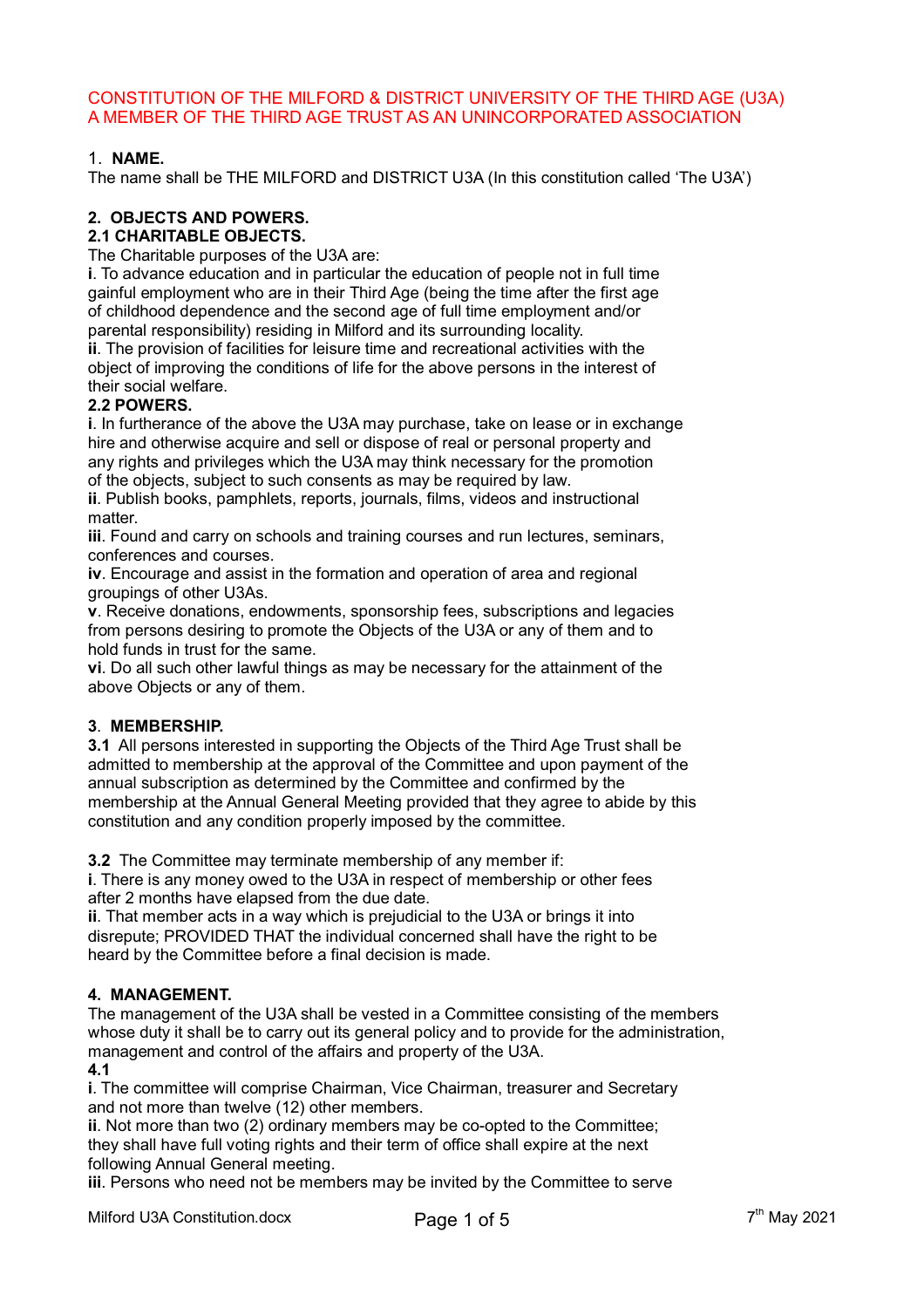# CONSTITUTION OF THE MILFORD & DISTRICT UNIVERSITY OF THE THIRD AGE (U3A) A MEMBER OF THE THIRD AGE TRUST AS AN UNINCORPORATED ASSOCIATION

# 1. **NAME.**

The name shall be THE MILFORD and DISTRICT U3A (In this constitution called 'The U3A')

# **2. OBJECTS AND POWERS.**

#### **2.1 CHARITABLE OBJECTS.**

The Charitable purposes of the U3A are:

**i**. To advance education and in particular the education of people not in full time gainful employment who are in their Third Age (being the time after the first age of childhood dependence and the second age of full time employment and/or parental responsibility) residing in Milford and its surrounding locality.

**ii**. The provision of facilities for leisure time and recreational activities with the object of improving the conditions of life for the above persons in the interest of their social welfare.

#### **2.2 POWERS.**

**i**. In furtherance of the above the U3A may purchase, take on lease or in exchange hire and otherwise acquire and sell or dispose of real or personal property and any rights and privileges which the U3A may think necessary for the promotion of the objects, subject to such consents as may be required by law.

**ii**. Publish books, pamphlets, reports, journals, films, videos and instructional matter.

**iii**. Found and carry on schools and training courses and run lectures, seminars, conferences and courses.

**iv**. Encourage and assist in the formation and operation of area and regional groupings of other U3As.

**v**. Receive donations, endowments, sponsorship fees, subscriptions and legacies from persons desiring to promote the Objects of the U3A or any of them and to hold funds in trust for the same.

**vi**. Do all such other lawful things as may be necessary for the attainment of the above Objects or any of them.

#### **3**. **MEMBERSHIP.**

**3.1** All persons interested in supporting the Objects of the Third Age Trust shall be admitted to membership at the approval of the Committee and upon payment of the annual subscription as determined by the Committee and confirmed by the membership at the Annual General Meeting provided that they agree to abide by this constitution and any condition properly imposed by the committee.

**3.2** The Committee may terminate membership of any member if:

**i**. There is any money owed to the U3A in respect of membership or other fees after 2 months have elapsed from the due date.

**ii**. That member acts in a way which is prejudicial to the U3A or brings it into disrepute; PROVIDED THAT the individual concerned shall have the right to be heard by the Committee before a final decision is made.

#### **4. MANAGEMENT.**

The management of the U3A shall be vested in a Committee consisting of the members whose duty it shall be to carry out its general policy and to provide for the administration, management and control of the affairs and property of the U3A. **4.1**

**i**. The committee will comprise Chairman, Vice Chairman, treasurer and Secretary and not more than twelve (12) other members.

**ii**. Not more than two (2) ordinary members may be co-opted to the Committee; they shall have full voting rights and their term of office shall expire at the next following Annual General meeting.

**iii**. Persons who need not be members may be invited by the Committee to serve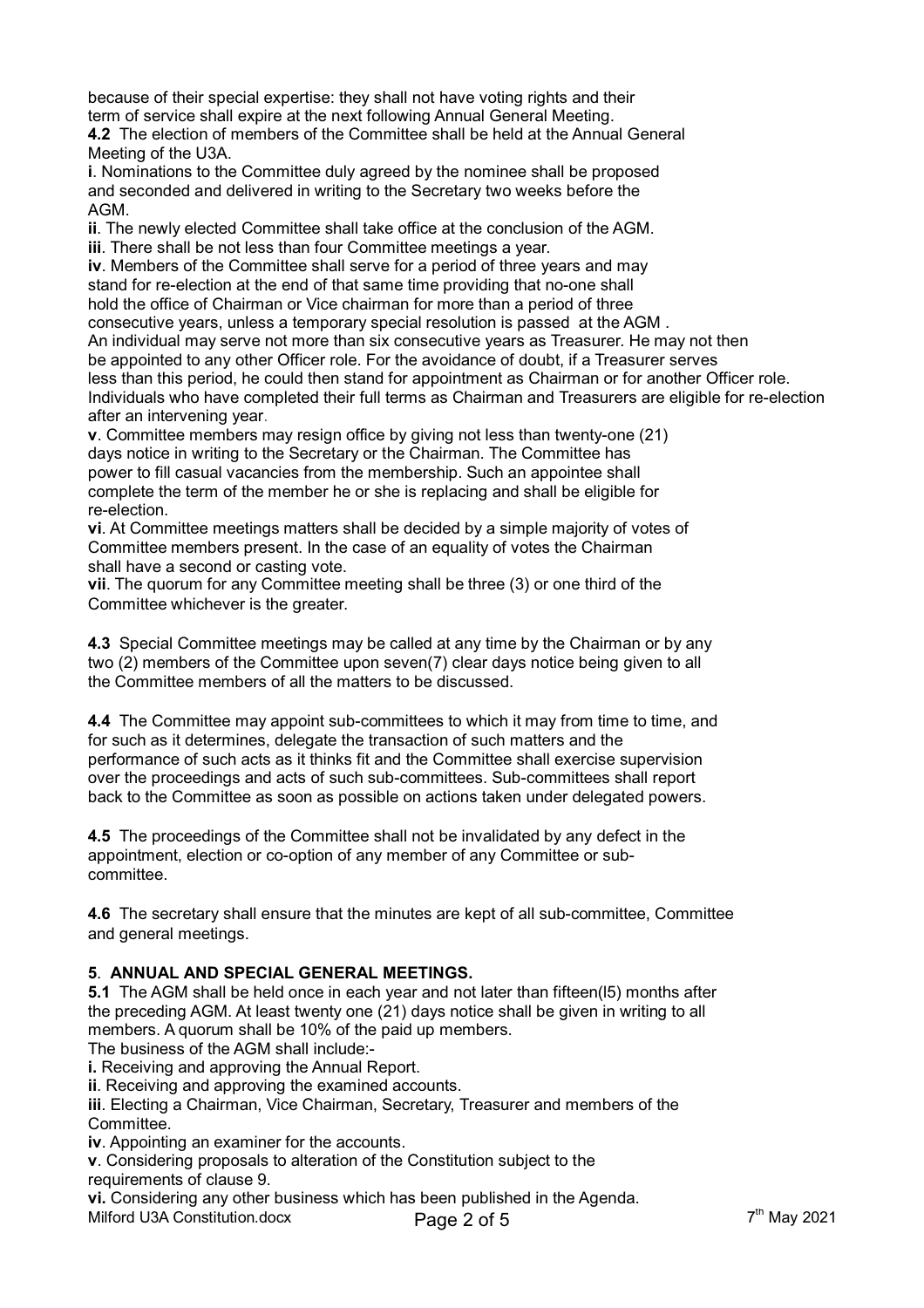because of their special expertise: they shall not have voting rights and their term of service shall expire at the next following Annual General Meeting.

**4.2** The election of members of the Committee shall be held at the Annual General Meeting of the U3A.

**i**. Nominations to the Committee duly agreed by the nominee shall be proposed and seconded and delivered in writing to the Secretary two weeks before the AGM.

**ii**. The newly elected Committee shall take office at the conclusion of the AGM. **iii**. There shall be not less than four Committee meetings a year.

**iv**. Members of the Committee shall serve for a period of three years and may stand for re-election at the end of that same time providing that no-one shall hold the office of Chairman or Vice chairman for more than a period of three consecutive years, unless a temporary special resolution is passed at the AGM . An individual may serve not more than six consecutive years as Treasurer. He may not then be appointed to any other Officer role. For the avoidance of doubt, if a Treasurer serves less than this period, he could then stand for appointment as Chairman or for another Officer role. Individuals who have completed their full terms as Chairman and Treasurers are eligible for re-election after an intervening year.

**v**. Committee members may resign office by giving not less than twenty-one (21) days notice in writing to the Secretary or the Chairman. The Committee has power to fill casual vacancies from the membership. Such an appointee shall complete the term of the member he or she is replacing and shall be eligible for re-election.

**vi**. At Committee meetings matters shall be decided by a simple majority of votes of Committee members present. In the case of an equality of votes the Chairman shall have a second or casting vote.

**vii**. The quorum for any Committee meeting shall be three (3) or one third of the Committee whichever is the greater.

**4.3** Special Committee meetings may be called at any time by the Chairman or by any two (2) members of the Committee upon seven(7) clear days notice being given to all the Committee members of all the matters to be discussed.

**4.4** The Committee may appoint sub-committees to which it may from time to time, and for such as it determines, delegate the transaction of such matters and the performance of such acts as it thinks fit and the Committee shall exercise supervision over the proceedings and acts of such sub-committees. Sub-committees shall report back to the Committee as soon as possible on actions taken under delegated powers.

**4.5** The proceedings of the Committee shall not be invalidated by any defect in the appointment, election or co-option of any member of any Committee or subcommittee.

**4.6** The secretary shall ensure that the minutes are kept of all sub-committee, Committee and general meetings.

# **5**. **ANNUAL AND SPECIAL GENERAL MEETINGS.**

**5.1** The AGM shall be held once in each year and not later than fifteen(l5) months after the preceding AGM. At least twenty one (21) days notice shall be given in writing to all members. A quorum shall be 10% of the paid up members.

The business of the AGM shall include:-

**i.** Receiving and approving the Annual Report.

**ii**. Receiving and approving the examined accounts.

**iii**. Electing a Chairman, Vice Chairman, Secretary, Treasurer and members of the Committee.

**iv**. Appointing an examiner for the accounts.

**v**. Considering proposals to alteration of the Constitution subject to the requirements of clause 9.

**vi.** Considering any other business which has been published in the Agenda.

Milford U3A Constitution.docx Page 2 of 5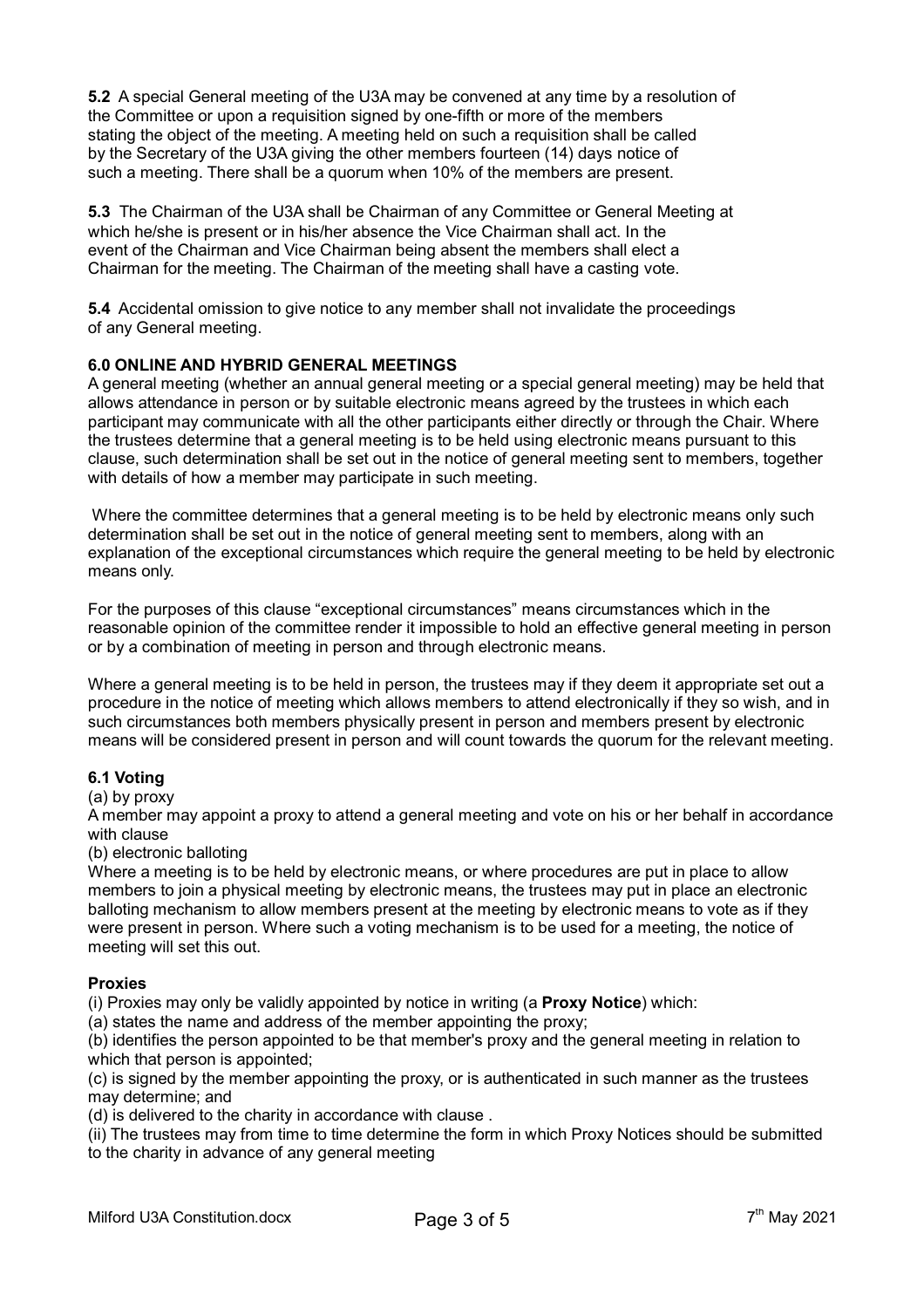**5.2** A special General meeting of the U3A may be convened at any time by a resolution of the Committee or upon a requisition signed by one-fifth or more of the members stating the object of the meeting. A meeting held on such a requisition shall be called by the Secretary of the U3A giving the other members fourteen (14) days notice of such a meeting. There shall be a quorum when 10% of the members are present.

**5.3** The Chairman of the U3A shall be Chairman of any Committee or General Meeting at which he/she is present or in his/her absence the Vice Chairman shall act. In the event of the Chairman and Vice Chairman being absent the members shall elect a Chairman for the meeting. The Chairman of the meeting shall have a casting vote.

**5.4** Accidental omission to give notice to any member shall not invalidate the proceedings of any General meeting.

# **6.0 ONLINE AND HYBRID GENERAL MEETINGS**

A general meeting (whether an annual general meeting or a special general meeting) may be held that allows attendance in person or by suitable electronic means agreed by the trustees in which each participant may communicate with all the other participants either directly or through the Chair. Where the trustees determine that a general meeting is to be held using electronic means pursuant to this clause, such determination shall be set out in the notice of general meeting sent to members, together with details of how a member may participate in such meeting.

 Where the committee determines that a general meeting is to be held by electronic means only such determination shall be set out in the notice of general meeting sent to members, along with an explanation of the exceptional circumstances which require the general meeting to be held by electronic means only.

For the purposes of this clause "exceptional circumstances" means circumstances which in the reasonable opinion of the committee render it impossible to hold an effective general meeting in person or by a combination of meeting in person and through electronic means.

Where a general meeting is to be held in person, the trustees may if they deem it appropriate set out a procedure in the notice of meeting which allows members to attend electronically if they so wish, and in such circumstances both members physically present in person and members present by electronic means will be considered present in person and will count towards the quorum for the relevant meeting.

#### **6.1 Voting**

#### (a) by proxy

A member may appoint a proxy to attend a general meeting and vote on his or her behalf in accordance with clause

#### (b) electronic balloting

Where a meeting is to be held by electronic means, or where procedures are put in place to allow members to join a physical meeting by electronic means, the trustees may put in place an electronic balloting mechanism to allow members present at the meeting by electronic means to vote as if they were present in person. Where such a voting mechanism is to be used for a meeting, the notice of meeting will set this out.

#### **Proxies**

(i) Proxies may only be validly appointed by notice in writing (a **Proxy Notice**) which:

(a) states the name and address of the member appointing the proxy;

(b) identifies the person appointed to be that member's proxy and the general meeting in relation to which that person is appointed;

(c) is signed by the member appointing the proxy, or is authenticated in such manner as the trustees may determine; and

(d) is delivered to the charity in accordance with clause .

(ii) The trustees may from time to time determine the form in which Proxy Notices should be submitted to the charity in advance of any general meeting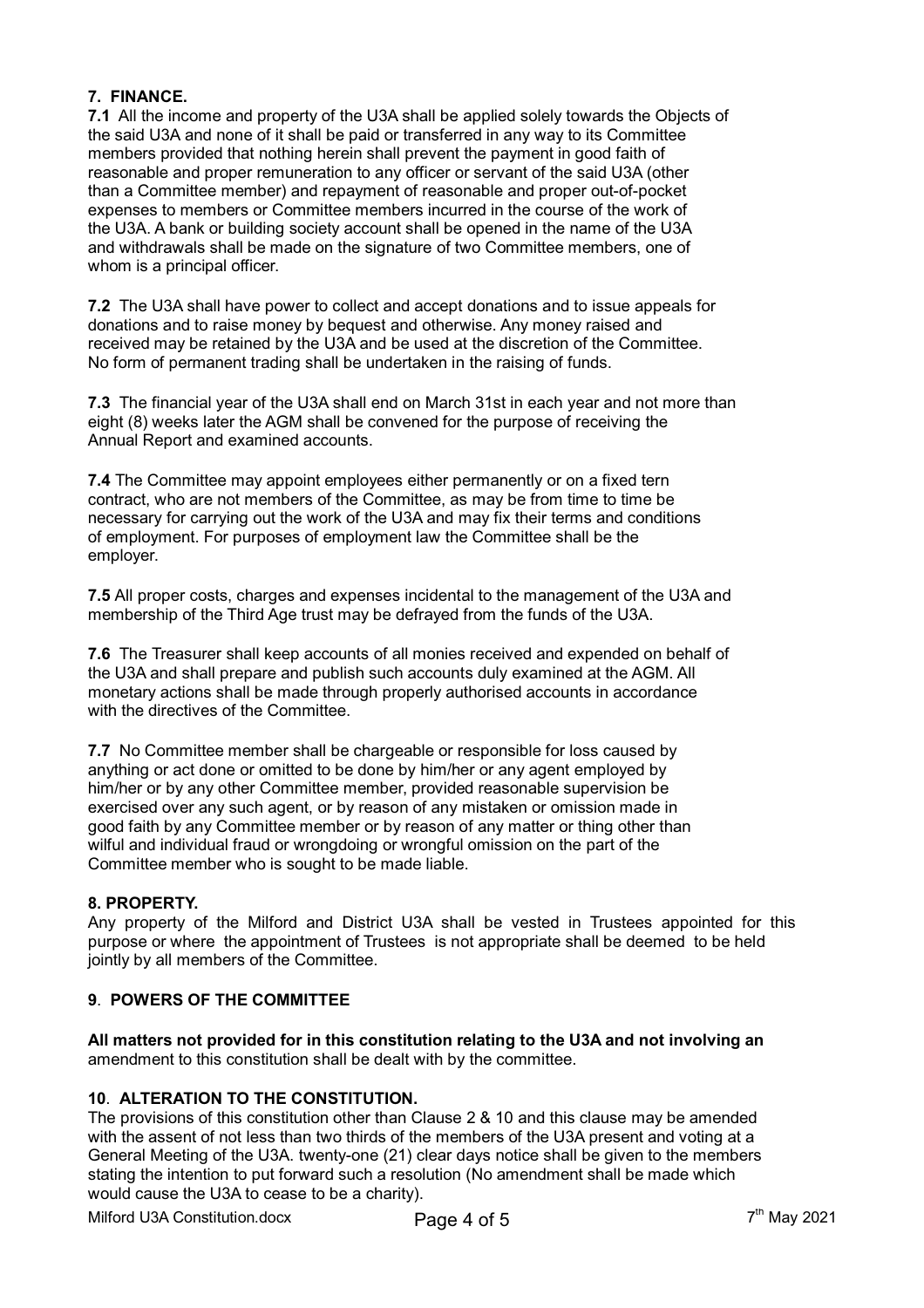# **7. FINANCE.**

**7.1** All the income and property of the U3A shall be applied solely towards the Objects of the said U3A and none of it shall be paid or transferred in any way to its Committee members provided that nothing herein shall prevent the payment in good faith of reasonable and proper remuneration to any officer or servant of the said U3A (other than a Committee member) and repayment of reasonable and proper out-of-pocket expenses to members or Committee members incurred in the course of the work of the U3A. A bank or building society account shall be opened in the name of the U3A and withdrawals shall be made on the signature of two Committee members, one of whom is a principal officer.

**7.2** The U3A shall have power to collect and accept donations and to issue appeals for donations and to raise money by bequest and otherwise. Any money raised and received may be retained by the U3A and be used at the discretion of the Committee. No form of permanent trading shall be undertaken in the raising of funds.

**7.3** The financial year of the U3A shall end on March 31st in each year and not more than eight (8) weeks later the AGM shall be convened for the purpose of receiving the Annual Report and examined accounts.

**7.4** The Committee may appoint employees either permanently or on a fixed tern contract, who are not members of the Committee, as may be from time to time be necessary for carrying out the work of the U3A and may fix their terms and conditions of employment. For purposes of employment law the Committee shall be the employer.

**7.5** All proper costs, charges and expenses incidental to the management of the U3A and membership of the Third Age trust may be defrayed from the funds of the U3A.

**7.6** The Treasurer shall keep accounts of all monies received and expended on behalf of the U3A and shall prepare and publish such accounts duly examined at the AGM. All monetary actions shall be made through properly authorised accounts in accordance with the directives of the Committee.

**7.7** No Committee member shall be chargeable or responsible for loss caused by anything or act done or omitted to be done by him/her or any agent employed by him/her or by any other Committee member, provided reasonable supervision be exercised over any such agent, or by reason of any mistaken or omission made in good faith by any Committee member or by reason of any matter or thing other than wilful and individual fraud or wrongdoing or wrongful omission on the part of the Committee member who is sought to be made liable.

# **8. PROPERTY.**

Any property of the Milford and District U3A shall be vested in Trustees appointed for this purpose or where the appointment of Trustees is not appropriate shall be deemed to be held jointly by all members of the Committee.

# **9**. **POWERS OF THE COMMITTEE**

**All matters not provided for in this constitution relating to the U3A and not involving an**  amendment to this constitution shall be dealt with by the committee.

# **10**. **ALTERATION TO THE CONSTITUTION.**

The provisions of this constitution other than Clause 2 & 10 and this clause may be amended with the assent of not less than two thirds of the members of the U3A present and voting at a General Meeting of the U3A. twenty-one (21) clear days notice shall be given to the members stating the intention to put forward such a resolution (No amendment shall be made which would cause the U3A to cease to be a charity).

Milford U3A Constitution.docx Page 4 of 5